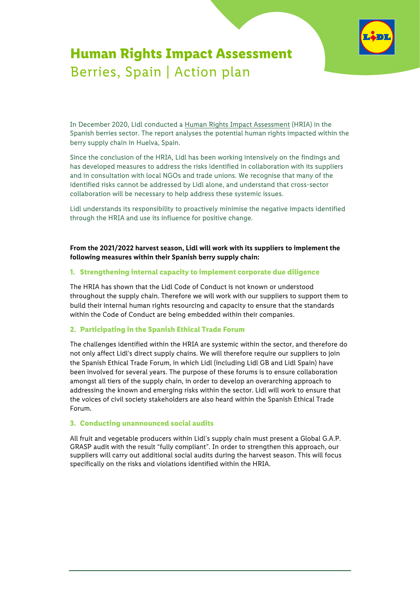

# **Human Rights Impact Assessment** Berries, Spain | Action plan

In December 2020, Lidl conducted a [Human Rights Impact Assessment](https://corporate.lidl.co.uk/sustainability/human-rights/hria/hria/spanish-berry) (HRIA) in the Spanish berries sector. The report analyses the potential human rights impacted within the berry supply chain in Huelva, Spain.

Since the conclusion of the HRIA, Lidl has been working intensively on the findings and has developed measures to address the risks identified in collaboration with its suppliers and in consultation with local NGOs and trade unions. We recognise that many of the identified risks cannot be addressed by Lidl alone, and understand that cross-sector collaboration will be necessary to help address these systemic issues.

Lidl understands its responsibility to proactively minimise the negative impacts identified through the HRIA and use its influence for positive change.

**From the 2021/2022 harvest season, Lidl will work with its suppliers to implement the following measures within their Spanish berry supply chain:**

### **1. Strengthening internal capacity to implement corporate due diligence**

The HRIA has shown that the Lidl Code of Conduct is not known or understood throughout the supply chain. Therefore we will work with our suppliers to support them to build their internal human rights resourcing and capacity to ensure that the standards within the Code of Conduct are being embedded within their companies.

## **2. Participating in the Spanish Ethical Trade Forum**

The challenges identified within the HRIA are systemic within the sector, and therefore do not only affect Lidl's direct supply chains. We will therefore require our suppliers to join the Spanish Ethical Trade Forum, in which Lidl (including Lidl GB and Lidl Spain) have been involved for several years. The purpose of these forums is to ensure collaboration amongst all tiers of the supply chain, in order to develop an overarching approach to addressing the known and emerging risks within the sector. Lidl will work to ensure that the voices of civil society stakeholders are also heard within the Spanish Ethical Trade Forum.

#### **3. Conducting unannounced social audits**

All fruit and vegetable producers within Lidl's supply chain must present a Global G.A.P. GRASP audit with the result "fully compliant". In order to strengthen this approach, our suppliers will carry out additional social audits during the harvest season. This will focus specifically on the risks and violations identified within the HRIA.